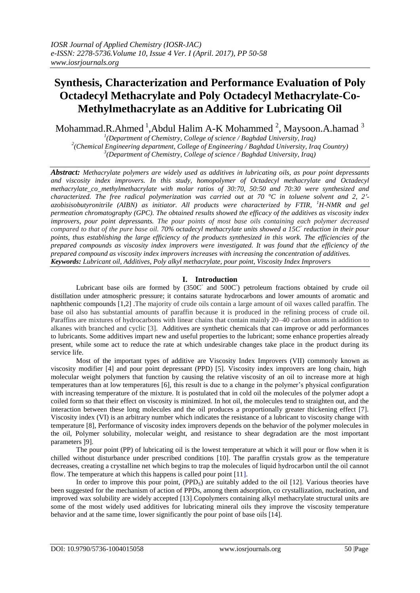# **Synthesis, Characterization and Performance Evaluation of Poly Octadecyl Methacrylate and Poly Octadecyl Methacrylate-Co-Methylmethacrylate as an Additive for Lubricating Oil**

Mohammad.R.Ahmed  $^1$ ,Abdul Halim A-K Mohammed  $^2$ , Maysoon.A.hamad  $^3$ 

*1 (Department of Chemistry, College of science / Baghdad University, Iraq) 2 (Chemical Engineering department, College of Engineering / Baghdad University, Iraq Country) 3 (Department of Chemistry, College of science / Baghdad University, Iraq)*

*Abstract: Methacrylate polymers are widely used as additives in lubricating oils, as pour point depressants and viscosity index improvers. In this study, homopolymer of Octadecyl methacrylate and Octadecyl methacrylate\_co\_methylmethacrylate with molar ratios of 30:70, 50:50 and 70:30 were synthesized and characterized. The free radical polymerization was carried out at 70 °C in toluene solvent and 2, 2′* azobisisobutyronitrile (AIBN) as initiator. All products were characterized by FTIR, <sup>1</sup>H-NMR and gel *permeation chromatography (GPC). The obtained results showed the efficacy of the additives as viscosity index improvers, pour point depressants. The pour points of most base oils containing each polymer decreased compared to that of the pure base oil.* 70% octadecyl methacrylate units showed a 15C<sup> $\degree$ </sup> reduction in their pour *points, thus establishing the large efficiency of the products synthesized in this work. The efficiencies of the prepared compounds as viscosity index improvers were investigated. It was found that the efficiency of the prepared compound as viscosity index improvers increases with increasing the concentration of additives. Keywords: Lubricant oil, Additives, Poly alkyl methacrylate, pour point, Viscosity Index Improver*s

## **I. Introduction**

Lubricant base oils are formed by (350C° and 500C°) petroleum fractions obtained by crude oil distillation under atmospheric pressure; it contains saturate hydrocarbons and lower amounts of aromatic and naphthenic compounds [1,2] .The majority of crude oils contain a large amount of oil waxes called paraffin. The base oil also has substantial amounts of paraffin because it is produced in the refining process of crude oil. Paraffins are mixtures of hydrocarbons with linear chains that contain mainly 20–40 carbon atoms in addition to alkanes with branched and cyclic [3]. Additives are synthetic chemicals that can improve or add performances to lubricants. Some additives impart new and useful properties to the lubricant; some enhance properties already present, while some act to reduce the rate at which undesirable changes take place in the product during its service life.

Most of the important types of additive are Viscosity Index Improvers (VII) commonly known as viscosity modifier [4] and pour point depressant (PPD) [5]. Viscosity index improvers are long chain, high molecular weight polymers that function by causing the relative viscosity of an oil to increase more at high temperatures than at low temperatures [6], this result is due to a change in the polymer's physical configuration with increasing temperature of the mixture. It is postulated that in cold oil the molecules of the polymer adopt a coiled form so that their effect on viscosity is minimized. In hot oil, the molecules tend to straighten out, and the interaction between these long molecules and the oil produces a proportionally greater thickening effect [7]. Viscosity index (VI) is an arbitrary number which indicates the resistance of a lubricant to viscosity change with temperature [8], Performance of viscosity index improvers depends on the behavior of the polymer molecules in the oil, Polymer solubility, molecular weight, and resistance to shear degradation are the most important parameters [9].

The pour point (PP) of lubricating oil is the lowest temperature at which it will pour or flow when it is chilled without disturbance under prescribed conditions [10]. The paraffin crystals grow as the temperature decreases, creating a crystalline net which begins to trap the molecules of liquid hydrocarbon until the oil cannot flow. The temperature at which this happens is called pour point [11].

In order to improve this pour point,  $(PPD<sub>s</sub>)$  are suitably added to the oil [12]. Various theories have been suggested for the mechanism of action of PPDs, among them adsorption, co crystallization, nucleation, and improved wax solubility are widely accepted [13].Copolymers containing alkyl methacrylate structural units are some of the most widely used additives for lubricating mineral oils they improve the viscosity temperature behavior and at the same time, lower significantly the pour point of base oils [14].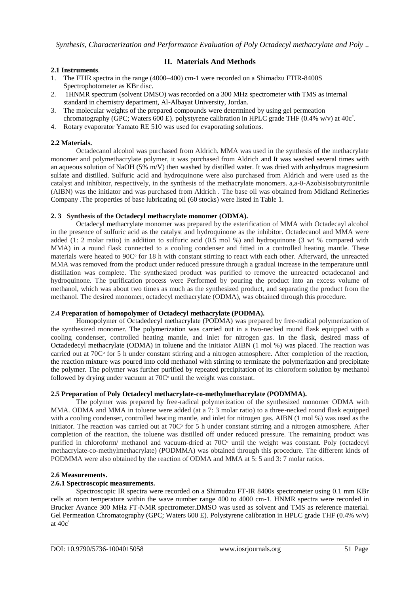## **II. Materials And Methods**

## **2.1 Instruments**.

- 1. The FTIR spectra in the range (4000–400) cm-1 were recorded on a Shimadzu FTIR-8400S Spectrophotometer as KBr disc.
- 2. 1HNMR spectrum (solvent DMSO) was recorded on a 300 MHz spectrometer with TMS as internal standard in chemistry department, Al-Albayat University, Jordan.
- 3. The molecular weights of the prepared compounds were determined by using gel permeation chromatography (GPC; Waters 600 E). polystyrene calibration in HPLC grade THF (0.4% w/v) at 40c°.
- 4. Rotary evaporator Yamato RE 510 was used for evaporating solutions.

## **2.2 Materials.**

Octadecanol alcohol was purchased from Aldrich. MMA was used in the synthesis of the methacrylate monomer and polymethacrylate polymer, it was purchased from Aldrich and It was washed several times with an aqueous solution of NaOH (5% m/V) then washed by distilled water. It was dried with anhydrous magnesium sulfate and distilled. Sulfuric acid and hydroquinone were also purchased from Aldrich and were used as the catalyst and inhibitor, respectively, in the synthesis of the methacrylate monomers. a,a-0-Azobisisobutyronitrile (AIBN) was the initiator and was purchased from Aldrich . The base oil was obtained from Midland Refineries Company .The properties of base lubricating oil (60 stocks) were listed in Table 1.

### **2. 3 Synthesis of the Octadecyl methacrylate monomer (ODMA).**

Octadecyl methacrylate monomer was prepared by the esterification of MMA with Octadecayl alcohol in the presence of sulfuric acid as the catalyst and hydroquinone as the inhibitor. Octadecanol and MMA were added (1: 2 molar ratio) in addition to sulfuric acid (0.5 mol %) and hydroquinone (3 wt % compared with MMA) in a round flask connected to a cooling condenser and fitted in a controlled heating mantle. These materials were heated to 90C<sup>o</sup> for 18 h with constant stirring to react with each other. Afterward, the unreacted MMA was removed from the product under reduced pressure through a gradual increase in the temperature until distillation was complete. The synthesized product was purified to remove the unreacted octadecanol and hydroquinone. The purification process were Performed by pouring the product into an excess volume of methanol, which was about two times as much as the synthesized product, and separating the product from the methanol. The desired monomer, octadecyl methacrylate (ODMA), was obtained through this procedure.

## **2.4 Preparation of homopolymer of Octadecyl methacrylate (PODMA).**

Homopolymer of Octadedecyl methacrylate (PODMA) was prepared by free-radical polymerization of the synthesized monomer. The polymerization was carried out in a two-necked round flask equipped with a cooling condenser, controlled heating mantle, and inlet for nitrogen gas. In the flask, desired mass of Octadedecyl methacrylate (ODMA) in toluene and the initiator AIBN (1 mol %) was placed. The reaction was carried out at  $70C<sup>o</sup>$  for 5 h under constant stirring and a nitrogen atmosphere. After completion of the reaction, the reaction mixture was poured into cold methanol with stirring to terminate the polymerization and precipitate the polymer. The polymer was further purified by repeated precipitation of its chloroform solution by methanol followed by drying under vacuum at  $70C<sup>o</sup>$  until the weight was constant.

#### **2.5 Preparation of Poly Octadecyl methacrylate-co-methylmethacrylate (PODMMA).**

The polymer was prepared by free-radical polymerization of the synthesized monomer ODMA with MMA. ODMA and MMA in toluene were added (at a 7: 3 molar ratio) to a three-necked round flask equipped with a cooling condenser, controlled heating mantle, and inlet for nitrogen gas. AIBN (1 mol %) was used as the initiator. The reaction was carried out at  $70C<sup>o</sup>$  for 5 h under constant stirring and a nitrogen atmosphere. After completion of the reaction, the toluene was distilled off under reduced pressure. The remaining product was purified in chloroform/ methanol and vacuum-dried at 70C<sup>o</sup> until the weight was constant. Poly (octadecyl methacrylate-co-methylmethacrylate) (PODMMA) was obtained through this procedure. The different kinds of PODMMA were also obtained by the reaction of ODMA and MMA at 5: 5 and 3: 7 molar ratios.

#### **2.6 Measurements.**

#### **2.6.1 Spectroscopic measurements.**

Spectroscopic IR spectra were recorded on a Shimudzu FT-IR 8400s spectrometer using 0.1 mm KBr cells at room temperature within the wave number range 400 to 4000 cm-1. HNMR spectra were recorded in Brucker Avance 300 MHz FT-NMR spectrometer.DMSO was used as solvent and TMS as reference material. Gel Permeation Chromatography (GPC; Waters 600 E). Polystyrene calibration in HPLC grade THF (0.4% w/v) at 40c◦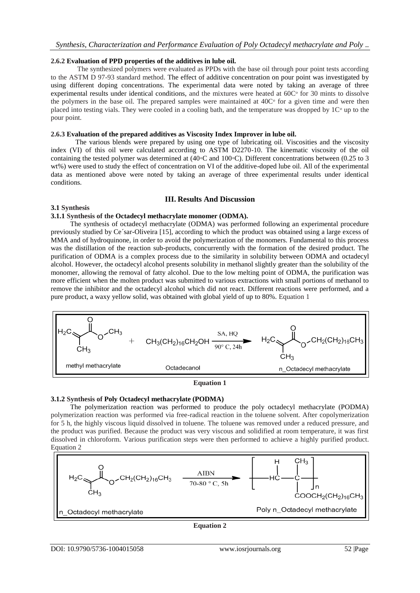#### **2.6.2 Evaluation of PPD properties of the additives in lube oil.**

 The synthesized polymers were evaluated as PPDs with the base oil through pour point tests according to the ASTM D 97-93 standard method. The effect of additive concentration on pour point was investigated by using different doping concentrations. The experimental data were noted by taking an average of three experimental results under identical conditions, and the mixtures were heated at  $60C<sup>o</sup>$  for 30 mints to dissolve the polymers in the base oil. The prepared samples were maintained at  $40C<sup>o</sup>$  for a given time and were then placed into testing vials. They were cooled in a cooling bath, and the temperature was dropped by  $1C<sup>o</sup>$  up to the pour point.

#### **2.6.3 Evaluation of the prepared additives as Viscosity Index Improver in lube oil.**

 The various blends were prepared by using one type of lubricating oil. Viscosities and the viscosity index (VI) of this oil were calculated according to ASTM D2270-10. The kinematic viscosity of the oil containing the tested polymer was determined at (40◦C and 100◦C). Different concentrations between (0.25 to 3 wt%) were used to study the effect of concentration on VI of the additive-doped lube oil. All of the experimental data as mentioned above were noted by taking an average of three experimental results under identical conditions.

#### **III. Results And Discussion**

#### **3.1 Synthesis**

#### **3.1.1 Synthesis of the Octadecyl methacrylate monomer (ODMA).**

 The synthesis of octadecyl methacrylate (ODMA) was performed following an experimental procedure previously studied by Ce´sar-Oliveira [15], according to which the product was obtained using a large excess of MMA and of hydroquinone, in order to avoid the polymerization of the monomers. Fundamental to this process was the distillation of the reaction sub-products, concurrently with the formation of the desired product. The purification of ODMA is a complex process due to the similarity in solubility between ODMA and octadecyl alcohol. However, the octadecyl alcohol presents solubility in methanol slightly greater than the solubility of the monomer, allowing the removal of fatty alcohol. Due to the low melting point of ODMA, the purification was more efficient when the molten product was submitted to various extractions with small portions of methanol to remove the inhibitor and the octadecyl alcohol which did not react. Different reactions were performed, and a pure product, a waxy yellow solid, was obtained with global yield of up to 80%. Equation 1





#### **3.1.2 Synthesis of Poly Octadecyl methacrylate (PODMA)**

 The polymerization reaction was performed to produce the poly octadecyl methacrylate (PODMA) polymerization reaction was performed via free-radical reaction in the toluene solvent. After copolymerization for 5 h, the highly viscous liquid dissolved in toluene. The toluene was removed under a reduced pressure, and the product was purified. Because the product was very viscous and solidified at room temperature, it was first dissolved in chloroform. Various purification steps were then performed to achieve a highly purified product. Equation 2



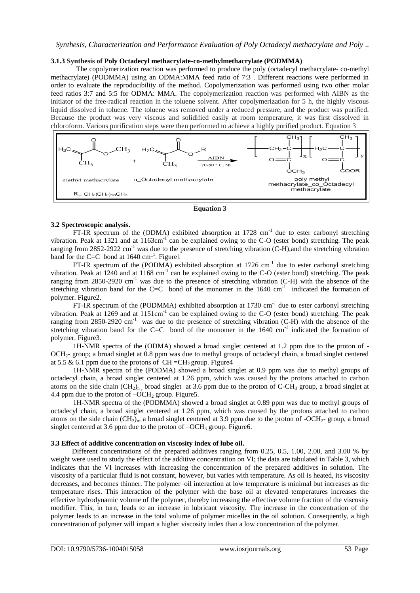#### **3.1.3 Synthesis of Poly Octadecyl methacrylate-co-methylmethacrylate (PODMMA)**

The copolymerization reaction was performed to produce the poly (octadecyl methacrylate- co-methyl methacrylate) (PODMMA) using an ODMA:MMA feed ratio of 7:3 . Different reactions were performed in order to evaluate the reproducibility of the method. Copolymerization was performed using two other molar feed ratios 3:7 and 5:5 for ODMA: MMA. The copolymerization reaction was performed with AIBN as the initiator of the free-radical reaction in the toluene solvent. After copolymerization for 5 h, the highly viscous liquid dissolved in toluene. The toluene was removed under a reduced pressure, and the product was purified. Because the product was very viscous and solidified easily at room temperature, it was first dissolved in chloroform. Various purification steps were then performed to achieve a highly purified product. Equation 3



**Equation 3**

### **3.2 Spectroscopic analysis.**

FT-IR spectrum of the (ODMA) exhibited absorption at  $1728 \text{ cm}^{-1}$  due to ester carbonyl stretching vibration. Peak at 1321 and at 1163cm<sup>-1</sup> can be explained owing to the C-O (ester bond) stretching. The peak ranging from 2852-2922 cm<sup>-1</sup> was due to the presence of stretching vibration (C-H),and the stretching vibration band for the C=C bond at  $1640 \text{ cm}^{-1}$ . Figure1

FT-IR spectrum of the (PODMA) exhibited absorption at 1726  $cm^{-1}$  due to ester carbonyl stretching vibration. Peak at 1240 and at 1168 cm<sup>-1</sup> can be explained owing to the C-O (ester bond) stretching. The peak ranging from  $2850-2920$  cm<sup>-1</sup> was due to the presence of stretching vibration (C-H) with the absence of the stretching vibration band for the C=C bond of the monomer in the  $1640 \text{ cm}^{-1}$  indicated the formation of polymer. Figure2.

FT-IR spectrum of the (PODMMA) exhibited absorption at 1730  $cm^{-1}$  due to ester carbonyl stretching vibration. Peak at 1269 and at  $1151 \text{cm}^{-1}$  can be explained owing to the C-O (ester bond) stretching. The peak ranging from 2850-2920  $cm^{-1}$  was due to the presence of stretching vibration (C-H) with the absence of the stretching vibration band for the C=C bond of the monomer in the  $1640 \text{ cm}^{-1}$  indicated the formation of polymer. Figure3.

1H-NMR spectra of the (ODMA) showed a broad singlet centered at 1.2 ppm due to the proton of - OCH2- group; a broad singlet at 0.8 ppm was due to methyl groups of octadecyl chain, a broad singlet centered at 5.5 & 6.1 ppm due to the protons of  $CH = CH<sub>2</sub>$  group. Figure 4

1H-NMR spectra of the (PODMA) showed a broad singlet at 0.9 ppm was due to methyl groups of octadecyl chain, a broad singlet centered at 1.26 ppm, which was caused by the protons attached to carbon atoms on the side chain  $(CH_2)_n$ , broad singlet at 3.6 ppm due to the proton of C-CH<sub>3</sub> group, a broad singlet at 4.4 ppm due to the proton of  $-OCH<sub>2</sub>$  group. Figure 5.

1H-NMR spectra of the (PODMMA) showed a broad singlet at 0.89 ppm was due to methyl groups of octadecyl chain, a broad singlet centered at 1.26 ppm, which was caused by the protons attached to carbon atoms on the side chain  $(CH_2)$ <sub>n</sub>, a broad singlet centered at 3.9 ppm due to the proton of -OCH<sub>2</sub>- group, a broad singlet centered at 3.6 ppm due to the proton of  $-OCH<sub>3</sub>$  group. Figure6.

#### **3.3 Effect of additive concentration on viscosity index of lube oil.**

Different concentrations of the prepared additives ranging from 0.25, 0.5, 1.00, 2.00, and 3.00 % by weight were used to study the effect of the additive concentration on VI; the data are tabulated in Table 3, which indicates that the VI increases with increasing the concentration of the prepared additives in solution. The viscosity of a particular fluid is not constant, however, but varies with temperature. As oil is heated, its viscosity decreases, and becomes thinner. The polymer–oil interaction at low temperature is minimal but increases as the temperature rises. This interaction of the polymer with the base oil at elevated temperatures increases the effective hydrodynamic volume of the polymer, thereby increasing the effective volume fraction of the viscosity modifier. This, in turn, leads to an increase in lubricant viscosity. The increase in the concentration of the polymer leads to an increase in the total volume of polymer micelles in the oil solution. Consequently, a high concentration of polymer will impart a higher viscosity index than a low concentration of the polymer.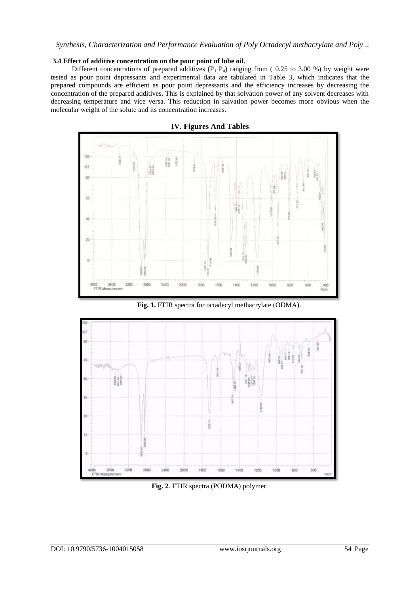#### **3.4 Effect of additive concentration on the pour point of lube oil.**

Different concentrations of prepared additives  $(P_1P_4)$  ranging from (0.25 to 3.00 %) by weight were tested as pour point depressants and experimental data are tabulated in Table 3, which indicates that the prepared compounds are efficient as pour point depressants and the efficiency increases by decreasing the concentration of the prepared additives. This is explained by that solvation power of any solvent decreases with decreasing temperature and vice versa. This reduction in salvation power becomes more obvious when the molecular weight of the solute and its concentration increases.



**IV. Figures And Tables**

**Fig. 1.** FTIR spectra for octadecyl methacrylate (ODMA).



**Fig. 2**. FTIR spectra (PODMA) polymer.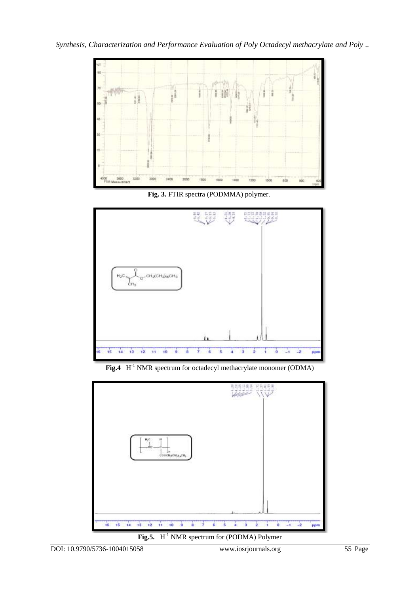

**Fig. 3.** FTIR spectra (PODMMA) polymer.



Fig.4 H<sup>-1</sup> NMR spectrum for octadecyl methacrylate monomer (ODMA)



**Fig.5.**  $H^{-1}$  NMR spectrum for (PODMA) Polymer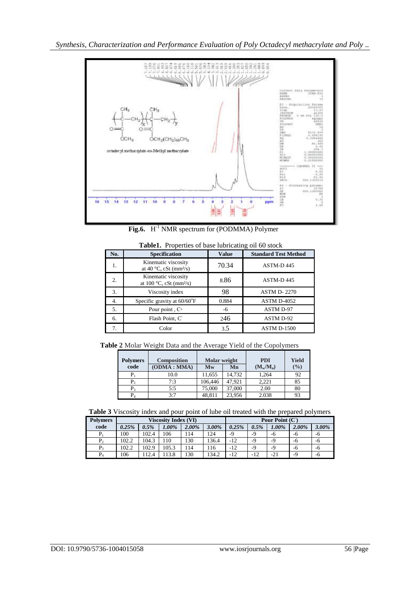*Synthesis, Characterization and Performance Evaluation of Poly Octadecyl methacrylate and Poly ..*



**Fig.6.** H<sup>-1</sup> NMR spectrum for (PODMMA) Polymer

| No. | <b>Specification</b>                                                | <b>Value</b> | <b>Standard Test Method</b> |
|-----|---------------------------------------------------------------------|--------------|-----------------------------|
| 1.  | Kinematic viscosity<br>at 40 $\degree$ C, cSt (mm <sup>2</sup> /s)  | 70.34        | ASTM-D445                   |
| 2.  | Kinematic viscosity<br>at 100 $\degree$ C, cSt (mm <sup>2</sup> /s) | 8.86         | ASTM-D445                   |
| 3.  | Viscosity index                                                     | 98           | <b>ASTM D-2270</b>          |
| 4.  | Specific gravity at 60/60°F                                         | 0.884        | ASTM D-4052                 |
| 5.  | Pour point, $C^{\circ}$                                             | -6           | <b>ASTM D-97</b>            |
| 6.  | Flash Point, C°                                                     | 246          | ASTM D-92                   |
| 7.  | Color                                                               | 3.5          | <b>ASTM D-1500</b>          |

 **Table1.** Properties of base lubricating oil 60 stock

 **Table 2** Molar Weight Data and the Average Yield of the Copolymers

| <b>Composition</b> | Molar weight |        | <b>PDI</b>  | <b>Yield</b>  |  |
|--------------------|--------------|--------|-------------|---------------|--|
|                    | <b>Mw</b>    | Mn     | $(M_w/M_n)$ | $\frac{0}{0}$ |  |
| 10.0               | 11,655       | 14,732 | 1.264       | 92            |  |
| 7:3                | 106,446      | 47.921 | 2.221       | 85            |  |
| 5:5                | 75,000       | 37,000 | 2.00        | 80            |  |
| 3.7                | 48.811       | 23.956 | 2.038       | 93            |  |
|                    | (ODMA : MMA) |        |             |               |  |

**Table 3** Viscosity index and pour point of lube oil treated with the prepared polymers

| <b>Polymers</b> | <b>Viscosity Index (VI)</b> |       |       |       | Pour Point $(C^{\circ})$ |       |       |       |       |       |
|-----------------|-----------------------------|-------|-------|-------|--------------------------|-------|-------|-------|-------|-------|
| code            | 0.25%                       | 0.5%  | 1.00% | 2.00% | 3.00%                    | 0.25% | 0.5%  | 1.00% | 2.00% | 3.00% |
| $P_1$           | 100                         | 102.4 | 106   | .14   | 124                      | $-9$  | -9    | -6    | -6    | -6    |
| P <sub>2</sub>  | 102.2                       | 104.3 | 110   | 130   | 136.4                    | $-12$ | $-9$  | $-9$  | -6    | -6    |
| P3              | 102.2                       | 102.9 | 105.3 | 14    | 16                       | $-12$ | $-9$  | $-9$  | -6    | -6    |
| $P_4$           | 106                         | 12.4  | 13.8  | 130   | 134.2                    | $-12$ | $-12$ | $-21$ | $-9$  | -6    |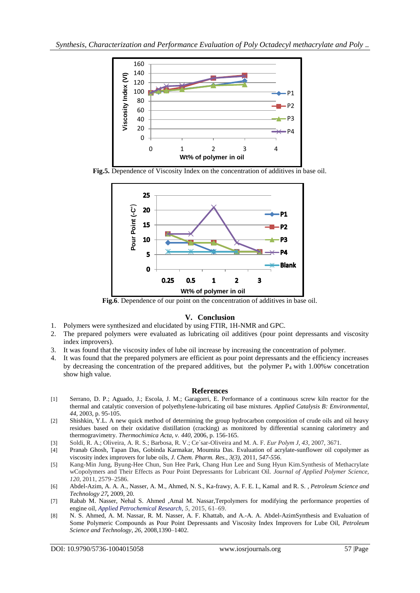

**Fig.5.** Dependence of Viscosity Index on the concentration of additives in base oil.



**Fig.6**. Dependence of our point on the concentration of additives in base oil.

## **V. Conclusion**

- 1. Polymers were synthesized and elucidated by using FTIR, 1H-NMR and GPC.
- 2. The prepared polymers were evaluated as lubricating oil additives (pour point depressants and viscosity index improvers).
- 3. It was found that the viscosity index of lube oil increase by increasing the concentration of polymer.
- 4. It was found that the prepared polymers are efficient as pour point depressants and the efficiency increases by decreasing the concentration of the prepared additives, but the polymer  $P_4$  with 1.00%w concetration show high value.

## **References**

- [1] Serrano, D. P.; Aguado, J.; Escola, J. M.; Garagorri, E. Performance of a continuous screw kiln reactor for the thermal and catalytic conversion of polyethylene-lubricating oil base mixtures. *Applied Catalysis B: Environmental, 44,* 2003, p. 95-105.
- [2] Shishkin, Y.L. A new quick method of determining the group hydrocarbon composition of crude oils and oil heavy residues based on their oxidative distillation (cracking) as monitored by differential scanning calorimetry and thermogravimetry. *Thermochimica Acta, v. 440*, 2006, p. 156-165.
- [3] Soldi, R. A.; Oliveira, A. R. S.; Barbosa, R. V.; Ce´sar-Oliveira and M. A. F. *Eur Polym J, 43,* 2007, 3671.
- [4] Pranab Ghosh, Tapan Das, Gobinda Karmakar, Moumita Das. Evaluation of acrylate-sunflower oil copolymer as viscosity index improvers for lube oils, *J. Chem. Pharm. Res., 3(3),* 2011, *547-556*.
- [5] Kang-Min Jung, Byung-Hee Chun, Sun Hee Park, Chang Hun Lee and Sung Hyun Kim.Synthesis of Methacrylate wCopolymers and Their Effects as Pour Point Depressants for Lubricant Oil. *Journal of Applied Polymer Science, 120*, 2011, 2579–2586.
- [6] Abdel-Azim, A. A. A., Nasser, A. M., Ahmed, N. S., Ka-frawy, A. F. E. I., Kamal and R. S. *, Petroleum Science and Technology 27,* 2009, 20.
- [7] Rabab M. Nasser, Nehal S. Ahmed ,Amal M. Nassar,Terpolymers for modifying the performance properties of engine oil, *Applied Petrochemical Research, 5,* 2015, 61–69.
- [8] N. S. Ahmed, A. M. Nassar, R. M. Nasser, A. F. Khattab, and A.-A. A. Abdel-AzimSynthesis and Evaluation of Some Polymeric Compounds as Pour Point Depressants and Viscosity Index Improvers for Lube Oil, *Petroleum Science and Technology, 26,* 2008,1390–1402.